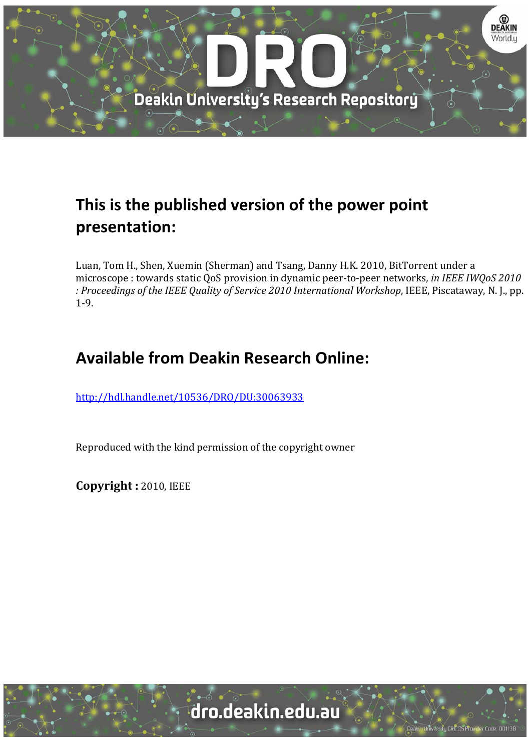

## **This is the published version of the power point presentation:**

Luan, Tom H., Shen, Xuemin (Sherman) and Tsang, Danny H.K. 2010, BitTorrent under a microscope : towards static QoS provision in dynamic peer-to-peer networks, *in IEEE IWQoS 2010 : Proceedings of the IEEE Quality of Service 2010 International Workshop*, IEEE, Piscataway, N. J., pp. 1‐9. 

## **Available from Deakin Research Online:**

http://hdl.handle.net/10536/DRO/DU:30063933

Reproduced with the kind permission of the copyright owner

**Copyright :** 2010, IEEE



*Jniversity CRICOS Provider Code: 00113E*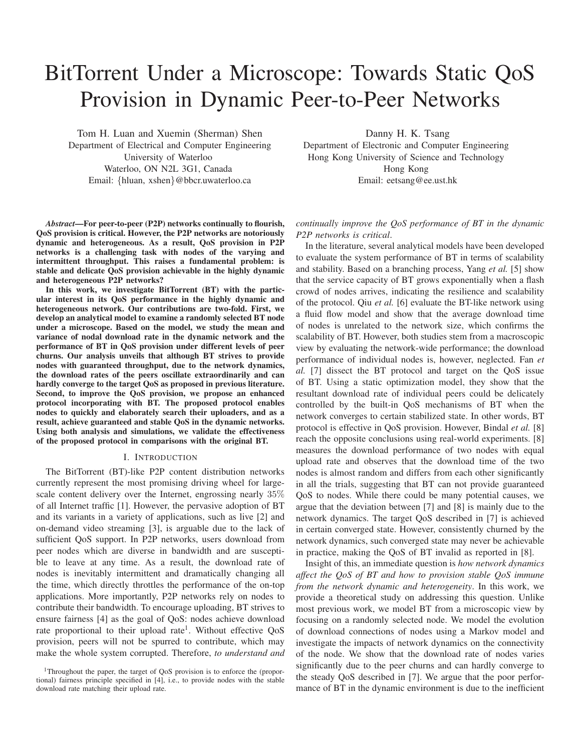# BitTorrent Under a Microscope: Towards Static QoS Provision in Dynamic Peer-to-Peer Networks

Tom H. Luan and Xuemin (Sherman) Shen Department of Electrical and Computer Engineering University of Waterloo Waterloo, ON N2L 3G1, Canada Email: {hluan, xshen}@bbcr.uwaterloo.ca

*Abstract*—For peer-to-peer (P2P) networks continually to flourish, QoS provision is critical. However, the P2P networks are notoriously dynamic and heterogeneous. As a result, QoS provision in P2P networks is a challenging task with nodes of the varying and intermittent throughput. This raises a fundamental problem: is stable and delicate QoS provision achievable in the highly dynamic and heterogeneous P2P networks?

In this work, we investigate BitTorrent (BT) with the particular interest in its QoS performance in the highly dynamic and heterogeneous network. Our contributions are two-fold. First, we develop an analytical model to examine a randomly selected BT node under a microscope. Based on the model, we study the mean and variance of nodal download rate in the dynamic network and the performance of BT in QoS provision under different levels of peer churns. Our analysis unveils that although BT strives to provide nodes with guaranteed throughput, due to the network dynamics, the download rates of the peers oscillate extraordinarily and can hardly converge to the target QoS as proposed in previous literature. Second, to improve the QoS provision, we propose an enhanced protocol incorporating with BT. The proposed protocol enables nodes to quickly and elaborately search their uploaders, and as a result, achieve guaranteed and stable QoS in the dynamic networks. Using both analysis and simulations, we validate the effectiveness of the proposed protocol in comparisons with the original BT.

#### I. INTRODUCTION

The BitTorrent (BT)-like P2P content distribution networks currently represent the most promising driving wheel for largescale content delivery over the Internet, engrossing nearly 35% of all Internet traffic [1]. However, the pervasive adoption of BT and its variants in a variety of applications, such as live [2] and on-demand video streaming [3], is arguable due to the lack of sufficient QoS support. In P2P networks, users download from peer nodes which are diverse in bandwidth and are susceptible to leave at any time. As a result, the download rate of nodes is inevitably intermittent and dramatically changing all the time, which directly throttles the performance of the on-top applications. More importantly, P2P networks rely on nodes to contribute their bandwidth. To encourage uploading, BT strives to ensure fairness [4] as the goal of QoS: nodes achieve download rate proportional to their upload rate<sup>1</sup>. Without effective QoS provision, peers will not be spurred to contribute, which may make the whole system corrupted. Therefore, *to understand and*

Danny H. K. Tsang

Department of Electronic and Computer Engineering Hong Kong University of Science and Technology Hong Kong Email: eetsang@ee.ust.hk

*continually improve the QoS performance of BT in the dynamic P2P networks is critical*.

In the literature, several analytical models have been developed to evaluate the system performance of BT in terms of scalability and stability. Based on a branching process, Yang *et al.* [5] show that the service capacity of BT grows exponentially when a flash crowd of nodes arrives, indicating the resilience and scalability of the protocol. Qiu *et al.* [6] evaluate the BT-like network using a fluid flow model and show that the average download time of nodes is unrelated to the network size, which confirms the scalability of BT. However, both studies stem from a macroscopic view by evaluating the network-wide performance; the download performance of individual nodes is, however, neglected. Fan *et al.* [7] dissect the BT protocol and target on the QoS issue of BT. Using a static optimization model, they show that the resultant download rate of individual peers could be delicately controlled by the built-in QoS mechanisms of BT when the network converges to certain stabilized state. In other words, BT protocol is effective in QoS provision. However, Bindal *et al.* [8] reach the opposite conclusions using real-world experiments. [8] measures the download performance of two nodes with equal upload rate and observes that the download time of the two nodes is almost random and differs from each other significantly in all the trials, suggesting that BT can not provide guaranteed QoS to nodes. While there could be many potential causes, we argue that the deviation between [7] and [8] is mainly due to the network dynamics. The target QoS described in [7] is achieved in certain converged state. However, consistently churned by the network dynamics, such converged state may never be achievable in practice, making the QoS of BT invalid as reported in [8].

Insight of this, an immediate question is *how network dynamics affect the QoS of BT and how to provision stable QoS immune from the network dynamic and heterogeneity*. In this work, we provide a theoretical study on addressing this question. Unlike most previous work, we model BT from a microscopic view by focusing on a randomly selected node. We model the evolution of download connections of nodes using a Markov model and investigate the impacts of network dynamics on the connectivity of the node. We show that the download rate of nodes varies significantly due to the peer churns and can hardly converge to the steady QoS described in [7]. We argue that the poor performance of BT in the dynamic environment is due to the inefficient

<sup>&</sup>lt;sup>1</sup>Throughout the paper, the target of QoS provision is to enforce the (proportional) fairness principle specified in [4], i.e., to provide nodes with the stable download rate matching their upload rate.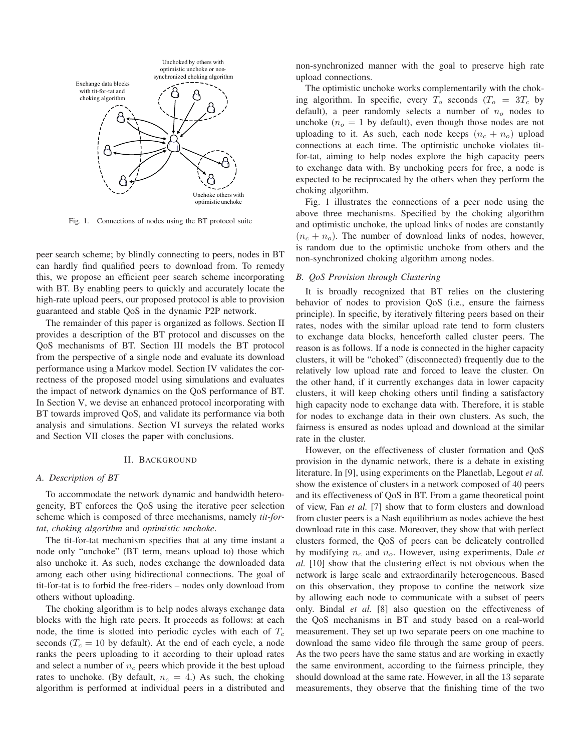

Fig. 1. Connections of nodes using the BT protocol suite

peer search scheme; by blindly connecting to peers, nodes in BT can hardly find qualified peers to download from. To remedy this, we propose an efficient peer search scheme incorporating with BT. By enabling peers to quickly and accurately locate the high-rate upload peers, our proposed protocol is able to provision guaranteed and stable QoS in the dynamic P2P network.

The remainder of this paper is organized as follows. Section II provides a description of the BT protocol and discusses on the QoS mechanisms of BT. Section III models the BT protocol from the perspective of a single node and evaluate its download performance using a Markov model. Section IV validates the correctness of the proposed model using simulations and evaluates the impact of network dynamics on the QoS performance of BT. In Section V, we devise an enhanced protocol incorporating with BT towards improved QoS, and validate its performance via both analysis and simulations. Section VI surveys the related works and Section VII closes the paper with conclusions.

#### II. BACKGROUND

#### *A. Description of BT*

To accommodate the network dynamic and bandwidth heterogeneity, BT enforces the QoS using the iterative peer selection scheme which is composed of three mechanisms, namely *tit-fortat*, *choking algorithm* and *optimistic unchoke*.

The tit-for-tat mechanism specifies that at any time instant a node only "unchoke" (BT term, means upload to) those which also unchoke it. As such, nodes exchange the downloaded data among each other using bidirectional connections. The goal of tit-for-tat is to forbid the free-riders – nodes only download from others without uploading.

The choking algorithm is to help nodes always exchange data blocks with the high rate peers. It proceeds as follows: at each node, the time is slotted into periodic cycles with each of  $T_c$ seconds ( $T_c = 10$  by default). At the end of each cycle, a node ranks the peers uploading to it according to their upload rates and select a number of  $n_c$  peers which provide it the best upload rates to unchoke. (By default,  $n_c = 4$ .) As such, the choking algorithm is performed at individual peers in a distributed and non-synchronized manner with the goal to preserve high rate upload connections.

The optimistic unchoke works complementarily with the choking algorithm. In specific, every  $T_o$  seconds  $(T_o = 3T_c)$  by default), a peer randomly selects a number of  $n<sub>o</sub>$  nodes to unchoke ( $n<sub>o</sub> = 1$  by default), even though those nodes are not uploading to it. As such, each node keeps  $(n_c + n_o)$  upload connections at each time. The optimistic unchoke violates titfor-tat, aiming to help nodes explore the high capacity peers to exchange data with. By unchoking peers for free, a node is expected to be reciprocated by the others when they perform the choking algorithm.

Fig. 1 illustrates the connections of a peer node using the above three mechanisms. Specified by the choking algorithm and optimistic unchoke, the upload links of nodes are constantly  $(n_c + n_o)$ . The number of download links of nodes, however, is random due to the optimistic unchoke from others and the non-synchronized choking algorithm among nodes.

## *B. QoS Provision through Clustering*

It is broadly recognized that BT relies on the clustering behavior of nodes to provision QoS (i.e., ensure the fairness principle). In specific, by iteratively filtering peers based on their rates, nodes with the similar upload rate tend to form clusters to exchange data blocks, henceforth called cluster peers. The reason is as follows. If a node is connected in the higher capacity clusters, it will be "choked" (disconnected) frequently due to the relatively low upload rate and forced to leave the cluster. On the other hand, if it currently exchanges data in lower capacity clusters, it will keep choking others until finding a satisfactory high capacity node to exchange data with. Therefore, it is stable for nodes to exchange data in their own clusters. As such, the fairness is ensured as nodes upload and download at the similar rate in the cluster.

However, on the effectiveness of cluster formation and QoS provision in the dynamic network, there is a debate in existing literature. In [9], using experiments on the Planetlab, Legout *et al.* show the existence of clusters in a network composed of 40 peers and its effectiveness of QoS in BT. From a game theoretical point of view, Fan *et al.* [7] show that to form clusters and download from cluster peers is a Nash equilibrium as nodes achieve the best download rate in this case. Moreover, they show that with perfect clusters formed, the QoS of peers can be delicately controlled by modifying  $n_c$  and  $n_o$ . However, using experiments, Dale *et al.* [10] show that the clustering effect is not obvious when the network is large scale and extraordinarily heterogeneous. Based on this observation, they propose to confine the network size by allowing each node to communicate with a subset of peers only. Bindal *et al.* [8] also question on the effectiveness of the QoS mechanisms in BT and study based on a real-world measurement. They set up two separate peers on one machine to download the same video file through the same group of peers. As the two peers have the same status and are working in exactly the same environment, according to the fairness principle, they should download at the same rate. However, in all the 13 separate measurements, they observe that the finishing time of the two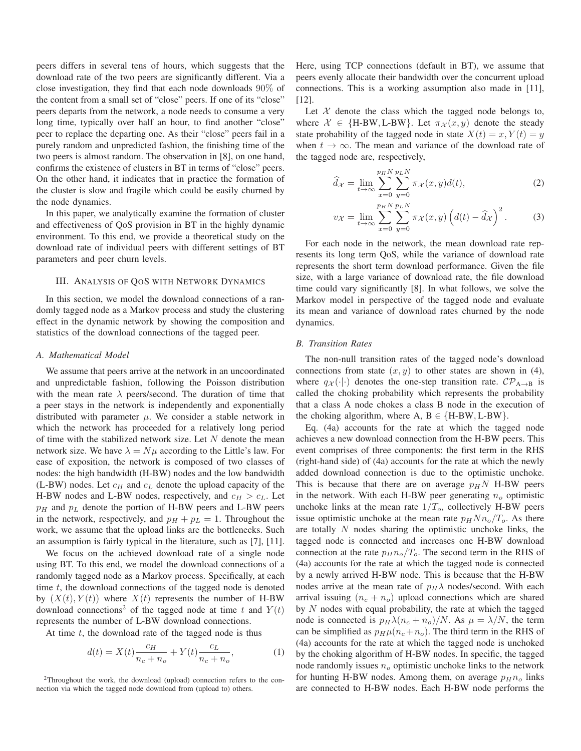peers differs in several tens of hours, which suggests that the download rate of the two peers are significantly different. Via a close investigation, they find that each node downloads 90% of the content from a small set of "close" peers. If one of its "close" peers departs from the network, a node needs to consume a very long time, typically over half an hour, to find another "close" peer to replace the departing one. As their "close" peers fail in a purely random and unpredicted fashion, the finishing time of the two peers is almost random. The observation in [8], on one hand, confirms the existence of clusters in BT in terms of "close" peers. On the other hand, it indicates that in practice the formation of the cluster is slow and fragile which could be easily churned by the node dynamics.

In this paper, we analytically examine the formation of cluster and effectiveness of QoS provision in BT in the highly dynamic environment. To this end, we provide a theoretical study on the download rate of individual peers with different settings of BT parameters and peer churn levels.

## III. ANALYSIS OF QOS WITH NETWORK DYNAMICS

In this section, we model the download connections of a randomly tagged node as a Markov process and study the clustering effect in the dynamic network by showing the composition and statistics of the download connections of the tagged peer.

#### *A. Mathematical Model*

We assume that peers arrive at the network in an uncoordinated and unpredictable fashion, following the Poisson distribution with the mean rate  $\lambda$  peers/second. The duration of time that a peer stays in the network is independently and exponentially distributed with parameter  $\mu$ . We consider a stable network in which the network has proceeded for a relatively long period of time with the stabilized network size. Let  $N$  denote the mean network size. We have  $\lambda = N\mu$  according to the Little's law. For ease of exposition, the network is composed of two classes of nodes: the high bandwidth (H-BW) nodes and the low bandwidth (L-BW) nodes. Let  $c_H$  and  $c_L$  denote the upload capacity of the H-BW nodes and L-BW nodes, respectively, and  $c_H > c_L$ . Let  $p_H$  and  $p_L$  denote the portion of H-BW peers and L-BW peers in the network, respectively, and  $p_H + p_L = 1$ . Throughout the work, we assume that the upload links are the bottlenecks. Such an assumption is fairly typical in the literature, such as [7], [11].

We focus on the achieved download rate of a single node using BT. To this end, we model the download connections of a randomly tagged node as a Markov process. Specifically, at each time  $t$ , the download connections of the tagged node is denoted by  $(X(t), Y(t))$  where  $X(t)$  represents the number of H-BW download connections<sup>2</sup> of the tagged node at time t and  $Y(t)$ represents the number of L-BW download connections.

At time  $t$ , the download rate of the tagged node is thus

$$
d(t) = X(t)\frac{c_H}{n_c + n_o} + Y(t)\frac{c_L}{n_c + n_o},
$$
 (1)

Here, using TCP connections (default in BT), we assume that peers evenly allocate their bandwidth over the concurrent upload connections. This is a working assumption also made in [11], [12].

Let  $X$  denote the class which the tagged node belongs to, where  $X \in \{H-BW, L-BW\}$ . Let  $\pi_{\mathcal{X}}(x, y)$  denote the steady state probability of the tagged node in state  $X(t) = x, Y(t) = y$ when  $t \to \infty$ . The mean and variance of the download rate of the tagged node are, respectively,

$$
\widehat{d}_{\mathcal{X}} = \lim_{t \to \infty} \sum_{x=0}^{p_H N} \sum_{y=0}^{p_L N} \pi_{\mathcal{X}}(x, y) d(t), \tag{2}
$$

$$
v_{\mathcal{X}} = \lim_{t \to \infty} \sum_{x=0}^{p_H N} \sum_{y=0}^{p_L N} \pi_{\mathcal{X}}(x, y) \left( d(t) - \widehat{d}_{\mathcal{X}} \right)^2.
$$
 (3)

For each node in the network, the mean download rate represents its long term QoS, while the variance of download rate represents the short term download performance. Given the file size, with a large variance of download rate, the file download time could vary significantly [8]. In what follows, we solve the Markov model in perspective of the tagged node and evaluate its mean and variance of download rates churned by the node dynamics.

## *B. Transition Rates*

The non-null transition rates of the tagged node's download connections from state  $(x, y)$  to other states are shown in (4), where  $q_{\mathcal{X}}(\cdot|\cdot)$  denotes the one-step transition rate.  $\mathcal{CP}_{A\rightarrow B}$  is called the choking probability which represents the probability that a class A node chokes a class B node in the execution of the choking algorithm, where A,  $B \in \{H-BW, L-BW\}.$ 

Eq. (4a) accounts for the rate at which the tagged node achieves a new download connection from the H-BW peers. This event comprises of three components: the first term in the RHS (right-hand side) of (4a) accounts for the rate at which the newly added download connection is due to the optimistic unchoke. This is because that there are on average  $p<sub>H</sub>N$  H-BW peers in the network. With each H-BW peer generating  $n<sub>o</sub>$  optimistic unchoke links at the mean rate  $1/T<sub>o</sub>$ , collectively H-BW peers issue optimistic unchoke at the mean rate  $p<sub>H</sub> Nn<sub>o</sub>/T<sub>o</sub>$ . As there are totally  $N$  nodes sharing the optimistic unchoke links, the tagged node is connected and increases one H-BW download connection at the rate  $p_H n_o/T_o$ . The second term in the RHS of (4a) accounts for the rate at which the tagged node is connected by a newly arrived H-BW node. This is because that the H-BW nodes arrive at the mean rate of  $p_H\lambda$  nodes/second. With each arrival issuing  $(n_c + n_o)$  upload connections which are shared by  $N$  nodes with equal probability, the rate at which the tagged node is connected is  $p_H \lambda (n_c + n_o)/N$ . As  $\mu = \lambda/N$ , the term can be simplified as  $p_H \mu(n_c+n_o)$ . The third term in the RHS of (4a) accounts for the rate at which the tagged node is unchoked by the choking algorithm of H-BW nodes. In specific, the tagged node randomly issues  $n<sub>o</sub>$  optimistic unchoke links to the network for hunting H-BW nodes. Among them, on average  $p_{H}n_{o}$  links are connected to H-BW nodes. Each H-BW node performs the

<sup>2</sup>Throughout the work, the download (upload) connection refers to the connection via which the tagged node download from (upload to) others.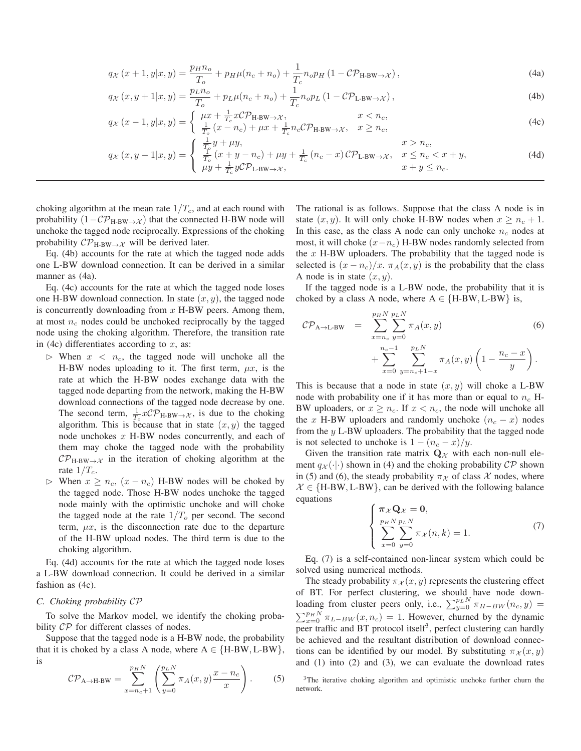$$
q_{\mathcal{X}}\left(x+1,y|x,y\right) = \frac{p_{H}n_{o}}{T_{o}} + p_{H}\mu(n_{c}+n_{o}) + \frac{1}{T_{c}}n_{o}p_{H}\left(1 - \mathcal{CP}_{\mathrm{H-BW}\rightarrow\mathcal{X}}\right),\tag{4a}
$$

$$
q_{\mathcal{X}}(x, y+1|x, y) = \frac{p_L n_o}{T_o} + p_L \mu (n_c + n_o) + \frac{1}{T_c} n_o p_L (1 - \mathcal{CP}_{\text{L-BW}\to\mathcal{X}}),\tag{4b}
$$

$$
q_{\mathcal{X}}(x-1,y|x,y) = \begin{cases} \mu x + \frac{1}{T_c} x \mathcal{C} \mathcal{P}_{\text{H-BW} \to \mathcal{X}}, & x < n_c, \\ \frac{1}{T_o}(x-n_c) + \mu x + \frac{1}{T_c} n_c \mathcal{C} \mathcal{P}_{\text{H-BW} \to \mathcal{X}}, & x \ge n_c, \end{cases}
$$
(4c)

$$
q_{\mathcal{X}}(x,y-1|x,y) = \begin{cases} \frac{1}{T_c}y + \mu y, & x > n_c, \\ \frac{1}{T_c}(x+y-n_c) + \mu y + \frac{1}{T_c}(n_c-x)\mathcal{C}\mathcal{P}_{\text{L-BW}\to\mathcal{X}}, & x \le n_c < x+y, \\ \mu y + \frac{1}{T_c}y\mathcal{C}\mathcal{P}_{\text{L-BW}\to\mathcal{X}}, & x+y \le n_c. \end{cases}
$$
(4d)

choking algorithm at the mean rate  $1/T_c$ , and at each round with probability  $(1-C\mathcal{P}_{H-BW\to\mathcal{X}})$  that the connected H-BW node will unchoke the tagged node reciprocally. Expressions of the choking probability  $\mathcal{CP}_{H-BW\to\mathcal{X}}$  will be derived later.

Eq. (4b) accounts for the rate at which the tagged node adds one L-BW download connection. It can be derived in a similar manner as  $(4a)$ .

Eq. (4c) accounts for the rate at which the tagged node loses one H-BW download connection. In state  $(x, y)$ , the tagged node is concurrently downloading from  $x$  H-BW peers. Among them, at most  $n_c$  nodes could be unchoked reciprocally by the tagged node using the choking algorithm. Therefore, the transition rate in (4c) differentiates according to  $x$ , as:

- $\triangleright$  When  $x < n_c$ , the tagged node will unchoke all the H-BW nodes uploading to it. The first term,  $\mu x$ , is the rate at which the H-BW nodes exchange data with the tagged node departing from the network, making the H-BW download connections of the tagged node decrease by one. The second term,  $\frac{1}{T_c}x\mathcal{CP}_{\text{H-BW}\to\mathcal{X}}$ , is due to the choking algorithm. This is because that in state  $(x, y)$  the tagged node unchokes x H-BW nodes concurrently, and each of them may choke the tagged node with the probability  $\mathcal{CP}_{H-BW\rightarrow\mathcal{X}}$  in the iteration of choking algorithm at the rate  $1/T_c$ .
- $\triangleright$  When  $x \geq n_c$ ,  $(x n_c)$  H-BW nodes will be choked by the tagged node. Those H-BW nodes unchoke the tagged the tagged node. Those H-BW nodes unchoke the tagged node mainly with the optimistic unchoke and will choke the tagged node at the rate  $1/T<sub>o</sub>$  per second. The second term,  $\mu x$ , is the disconnection rate due to the departure of the H-BW upload nodes. The third term is due to the choking algorithm.

Eq. (4d) accounts for the rate at which the tagged node loses a L-BW download connection. It could be derived in a similar fashion as (4c).

## *C. Choking probability* CP

To solve the Markov model, we identify the choking probability  $\mathcal{CP}$  for different classes of nodes.

Suppose that the tagged node is a H-BW node, the probability that it is choked by a class A node, where  $A \in \{H-BW, L-BW\}$ , is

$$
\mathcal{CP}_{A\to H-BW} = \sum_{x=n_c+1}^{p_H N} \left( \sum_{y=0}^{p_L N} \pi_A(x, y) \frac{x - n_c}{x} \right). \tag{5}
$$

The rational is as follows. Suppose that the class A node is in state  $(x, y)$ . It will only choke H-BW nodes when  $x \ge n_c + 1$ . In this case, as the class A node can only unchoke  $n_c$  nodes at most, it will choke  $(x-n_c)$  H-BW nodes randomly selected from the  $x$  H-BW uploaders. The probability that the tagged node is selected is  $(x - n_c)/x$ .  $\pi_A(x, y)$  is the probability that the class A node is in state  $(x, y)$ .

If the tagged node is a L-BW node, the probability that it is choked by a class A node, where  $A \in \{H-BW, L-BW\}$  is,

$$
C\mathcal{P}_{A\to L-BW} = \sum_{x=n_c}^{p_H N} \sum_{y=0}^{p_L N} \pi_A(x, y)
$$
(6)  
+ 
$$
\sum_{x=0}^{n_c-1} \sum_{y=n_c+1-x}^{p_L N} \pi_A(x, y) \left(1 - \frac{n_c - x}{y}\right).
$$

This is because that a node in state  $(x, y)$  will choke a L-BW node with probability one if it has more than or equal to  $n_c$  H-BW uploaders, or  $x \geq n_c$ . If  $x < n_c$ , the node will unchoke all the x H-BW uploaders and randomly unchoke  $(n_c - x)$  nodes from the  $y$  L-BW uploaders. The probability that the tagged node is not selected to unchoke is  $1 - (n_c - x)/y$ .

Given the transition rate matrix  $\mathbf{Q}_{\mathcal{X}}$  with each non-null element  $q_X(\cdot|\cdot)$  shown in (4) and the choking probability  $\mathcal{CP}$  shown in (5) and (6), the steady probability  $\pi_{\mathcal{X}}$  of class  $\mathcal{X}$  nodes, where  $X \in \{H-BW, L-BW\}$ , can be derived with the following balance equations

$$
\begin{cases}\n\pi_{\mathcal{X}}\mathbf{Q}_{\mathcal{X}} = \mathbf{0},\\ \sum_{x=0}^{p_{H}N} \sum_{y=0}^{p_{L}N} \pi_{\mathcal{X}}(n,k) = 1.\n\end{cases}
$$
\n(7)

Eq. (7) is a self-contained non-linear system which could be solved using numerical methods.

The steady probability  $\pi_{\mathcal{X}}(x, y)$  represents the clustering effect of BT. For perfect clustering, we should have node downloading from cluster peers only, i.e.,  $\sum_{y=0}^{p_L N} \pi_{H-BW}(n_c, y) =$ <br> $\sum_{y=0}^{p_H N} \pi_{H-BW}(n_c, y)$  $\sum_{x=0}^{p_H N} \pi_{L-BW}(x, n_c) = 1.$  However, churned by the dynamic<br>peer traffic and BT protocol itself<sup>3</sup> perfect clustering can bardly peer traffic and BT protocol itself<sup>3</sup>, perfect clustering can hardly be achieved and the resultant distribution of download connections can be identified by our model. By substituting  $\pi_{\mathcal{X}}(x, y)$ and (1) into (2) and (3), we can evaluate the download rates

<sup>&</sup>lt;sup>3</sup>The iterative choking algorithm and optimistic unchoke further churn the network.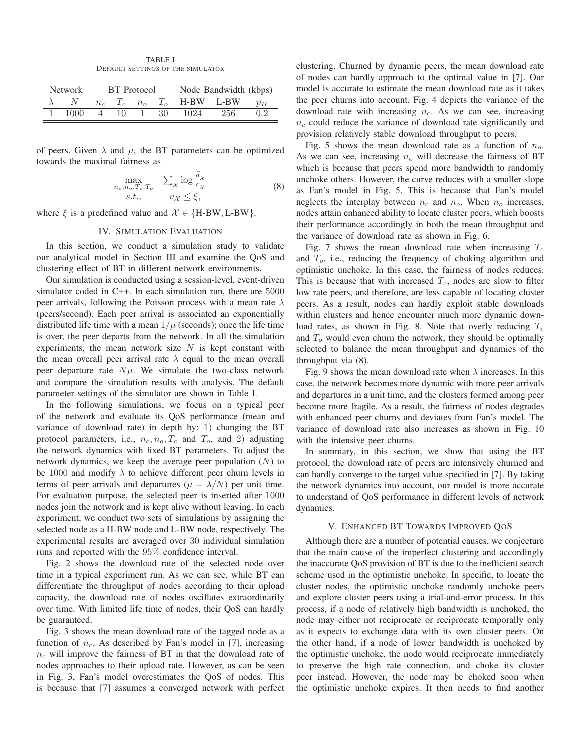TABLE I DEFAULT SETTINGS OF THE SIMULATOR

| <b>Network</b> |      | <b>BT</b> Protocol |  |  |  | Node Bandwidth (kbps) |      |    |
|----------------|------|--------------------|--|--|--|-----------------------|------|----|
|                |      | $n_{c}$            |  |  |  | H-BW                  | L-BW | pн |
|                | 1000 |                    |  |  |  |                       |      |    |

of peers. Given  $\lambda$  and  $\mu$ , the BT parameters can be optimized towards the maximal fairness as

$$
\max_{\substack{n_c, n_o, T_c, T_o \\ s.t.,}} \sum_{\substack{\mathcal{V} \\ \mathcal{V} \\ \mathcal{X}}} \log \frac{\hat{d}_{\mathcal{X}}}{c_{\mathcal{X}}} \tag{8}
$$

where  $\xi$  is a predefined value and  $\mathcal{X} \in \{H-BW, L-BW\}.$ 

#### IV. SIMULATION EVALUATION

In this section, we conduct a simulation study to validate our analytical model in Section III and examine the QoS and clustering effect of BT in different network environments.

Our simulation is conducted using a session-level, event-driven simulator coded in C++. In each simulation run, there are 5000 peer arrivals, following the Poisson process with a mean rate  $\lambda$ (peers/second). Each peer arrival is associated an exponentially distributed life time with a mean  $1/\mu$  (seconds); once the life time is over, the peer departs from the network. In all the simulation experiments, the mean network size  $N$  is kept constant with the mean overall peer arrival rate  $\lambda$  equal to the mean overall peer departure rate  $N\mu$ . We simulate the two-class network and compare the simulation results with analysis. The default parameter settings of the simulator are shown in Table I.

In the following simulations, we focus on a typical peer of the network and evaluate its QoS performance (mean and variance of download rate) in depth by: 1) changing the BT protocol parameters, i.e.,  $n_c, n_o, T_c$  and  $T_o$ , and 2) adjusting the network dynamics with fixed BT parameters. To adjust the network dynamics, we keep the average peer population  $(N)$  to be 1000 and modify  $\lambda$  to achieve different peer churn levels in terms of peer arrivals and departures ( $\mu = \lambda/N$ ) per unit time. For evaluation purpose, the selected peer is inserted after 1000 nodes join the network and is kept alive without leaving. In each experiment, we conduct two sets of simulations by assigning the selected node as a H-BW node and L-BW node, respectively. The experimental results are averaged over 30 individual simulation runs and reported with the 95% confidence interval.

Fig. 2 shows the download rate of the selected node over time in a typical experiment run. As we can see, while BT can differentiate the throughput of nodes according to their upload capacity, the download rate of nodes oscillates extraordinarily over time. With limited life time of nodes, their QoS can hardly be guaranteed.

Fig. 3 shows the mean download rate of the tagged node as a function of  $n_c$ . As described by Fan's model in [7], increasing  $n_c$  will improve the fairness of BT in that the download rate of nodes approaches to their upload rate. However, as can be seen in Fig. 3, Fan's model overestimates the QoS of nodes. This is because that [7] assumes a converged network with perfect clustering. Churned by dynamic peers, the mean download rate of nodes can hardly approach to the optimal value in [7]. Our model is accurate to estimate the mean download rate as it takes the peer churns into account. Fig. 4 depicts the variance of the download rate with increasing  $n_c$ . As we can see, increasing  $n_c$  could reduce the variance of download rate significantly and provision relatively stable download throughput to peers.

Fig. 5 shows the mean download rate as a function of  $n<sub>o</sub>$ . As we can see, increasing  $n<sub>o</sub>$  will decrease the fairness of BT which is because that peers spend more bandwidth to randomly unchoke others. However, the curve reduces with a smaller slope as Fan's model in Fig. 5. This is because that Fan's model neglects the interplay between  $n_c$  and  $n_o$ . When  $n_o$  increases, nodes attain enhanced ability to locate cluster peers, which boosts their performance accordingly in both the mean throughput and the variance of download rate as shown in Fig. 6.

Fig. 7 shows the mean download rate when increasing  $T_c$ and  $T<sub>o</sub>$ , i.e., reducing the frequency of choking algorithm and optimistic unchoke. In this case, the fairness of nodes reduces. This is because that with increased  $T_c$ , nodes are slow to filter low rate peers, and therefore, are less capable of locating cluster peers. As a result, nodes can hardly exploit stable downloads within clusters and hence encounter much more dynamic download rates, as shown in Fig. 8. Note that overly reducing  $T_c$ and  $T<sub>o</sub>$  would even churn the network, they should be optimally selected to balance the mean throughput and dynamics of the throughput via (8).

Fig. 9 shows the mean download rate when  $\lambda$  increases. In this case, the network becomes more dynamic with more peer arrivals and departures in a unit time, and the clusters formed among peer become more fragile. As a result, the fairness of nodes degrades with enhanced peer churns and deviates from Fan's model. The variance of download rate also increases as shown in Fig. 10 with the intensive peer churns.

In summary, in this section, we show that using the BT protocol, the download rate of peers are intensively churned and can hardly converge to the target value specified in [7]. By taking the network dynamics into account, our model is more accurate to understand of QoS performance in different levels of network dynamics.

#### V. ENHANCED BT TOWARDS IMPROVED QOS

Although there are a number of potential causes, we conjecture that the main cause of the imperfect clustering and accordingly the inaccurate QoS provision of BT is due to the inefficient search scheme used in the optimistic unchoke. In specific, to locate the cluster nodes, the optimistic unchoke randomly unchoke peers and explore cluster peers using a trial-and-error process. In this process, if a node of relatively high bandwidth is unchoked, the node may either not reciprocate or reciprocate temporally only as it expects to exchange data with its own cluster peers. On the other hand, if a node of lower bandwidth is unchoked by the optimistic unchoke, the node would reciprocate immediately to preserve the high rate connection, and choke its cluster peer instead. However, the node may be choked soon when the optimistic unchoke expires. It then needs to find another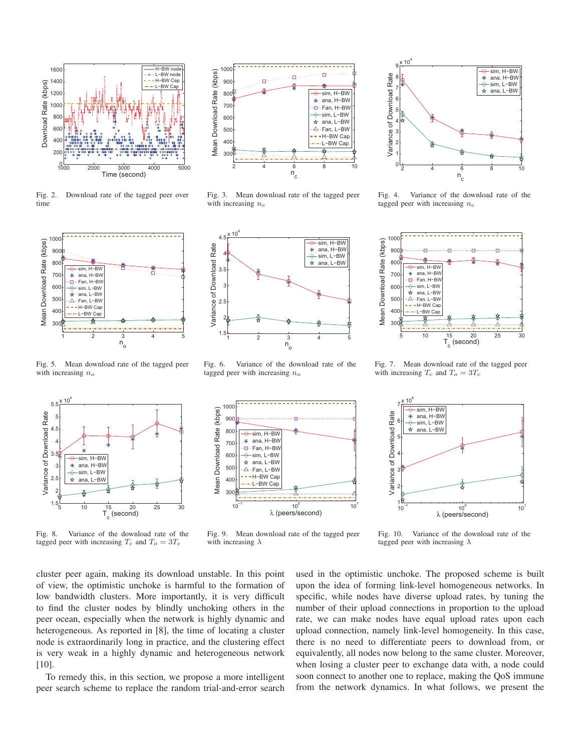

Fig. 2. Download rate of the tagged peer over time



Fig. 5. Mean download rate of the tagged peer with increasing  $n<sub>o</sub>$ 



Fig. 8. Variance of the download rate of the tagged peer with increasing  $T_c$  and  $T_o = 3T_c$ 



Fig. 3. Mean download rate of the tagged peer with increasing  $n_c$ 



Fig. 6. Variance of the download rate of the tagged peer with increasing  $n<sub>o</sub>$ 



Fig. 9. Mean download rate of the tagged peer with increasing  $\lambda$ 



Fig. 4. Variance of the download rate of the tagged peer with increasing  $n_c$ 



Fig. 7. Mean download rate of the tagged peer with increasing  $T_c$  and  $T_o = 3T_c$ 



Fig. 10. Variance of the download rate of the tagged peer with increasing  $\lambda$ 

cluster peer again, making its download unstable. In this point of view, the optimistic unchoke is harmful to the formation of low bandwidth clusters. More importantly, it is very difficult to find the cluster nodes by blindly unchoking others in the peer ocean, especially when the network is highly dynamic and heterogeneous. As reported in [8], the time of locating a cluster node is extraordinarily long in practice, and the clustering effect is very weak in a highly dynamic and heterogeneous network  $[10]$ .

To remedy this, in this section, we propose a more intelligent peer search scheme to replace the random trial-and-error search

used in the optimistic unchoke. The proposed scheme is built upon the idea of forming link-level homogeneous networks. In specific, while nodes have diverse upload rates, by tuning the number of their upload connections in proportion to the upload rate, we can make nodes have equal upload rates upon each upload connection, namely link-level homogeneity. In this case, there is no need to differentiate peers to download from, or equivalently, all nodes now belong to the same cluster. Moreover, when losing a cluster peer to exchange data with, a node could soon connect to another one to replace, making the QoS immune from the network dynamics. In what follows, we present the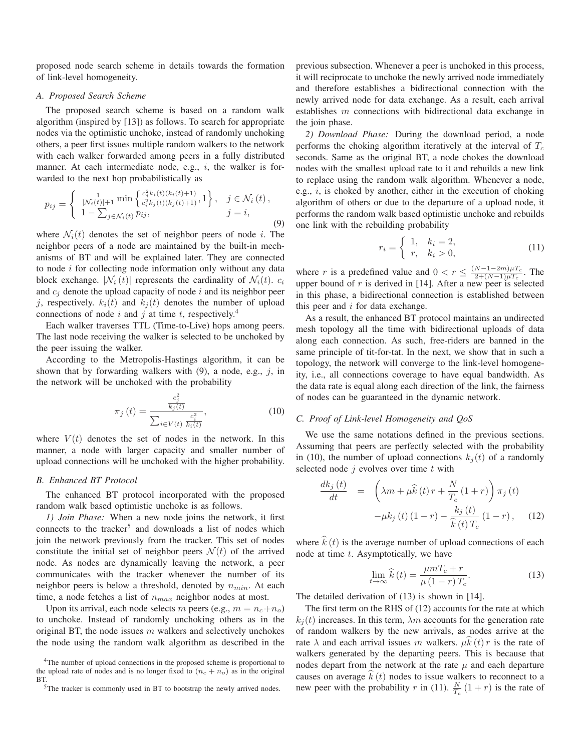proposed node search scheme in details towards the formation of link-level homogeneity.

## *A. Proposed Search Scheme*

The proposed search scheme is based on a random walk algorithm (inspired by [13]) as follows. To search for appropriate nodes via the optimistic unchoke, instead of randomly unchoking others, a peer first issues multiple random walkers to the network with each walker forwarded among peers in a fully distributed manner. At each intermediate node, e.g.,  $i$ , the walker is forwarded to the next hop probabilistically as

$$
p_{ij} = \begin{cases} \frac{1}{|N_i(t)|+1} \min \left\{ \frac{c_j^2 k_i(t)(k_i(t)+1)}{c_i^2 k_j(t)(k_j(t)+1)}, 1 \right\}, & j \in \mathcal{N}_i(t), \\ 1 - \sum_{j \in \mathcal{N}_i(t)} p_{ij}, & j = i, \end{cases}
$$
(9)

where  $\mathcal{N}_i(t)$  denotes the set of neighbor peers of node i. The neighbor peers of a node are maintained by the built-in mechanisms of BT and will be explained later. They are connected to node  $i$  for collecting node information only without any data block exchange.  $|\mathcal{N}_i(t)|$  represents the cardinality of  $\mathcal{N}_i(t)$ .  $c_i$ and  $c_i$  denote the upload capacity of node i and its neighbor peer j, respectively.  $k_i(t)$  and  $k_j(t)$  denotes the number of upload connections of node i and j at time t, respectively.<sup>4</sup>

Each walker traverses TTL (Time-to-Live) hops among peers. The last node receiving the walker is selected to be unchoked by the peer issuing the walker.

According to the Metropolis-Hastings algorithm, it can be shown that by forwarding walkers with  $(9)$ , a node, e.g., j, in the network will be unchoked with the probability

$$
\pi_j(t) = \frac{\frac{c_j^2}{k_j(t)}}{\sum_{i \in V(t)} \frac{c_i^2}{k_i(t)}},\tag{10}
$$

where  $V(t)$  denotes the set of nodes in the network. In this manner, a node with larger capacity and smaller number of upload connections will be unchoked with the higher probability.

## *B. Enhanced BT Protocol*

The enhanced BT protocol incorporated with the proposed random walk based optimistic unchoke is as follows.

*1) Join Phase:* When a new node joins the network, it first connects to the tracker<sup>5</sup> and downloads a list of nodes which join the network previously from the tracker. This set of nodes constitute the initial set of neighbor peers  $\mathcal{N}(t)$  of the arrived node. As nodes are dynamically leaving the network, a peer communicates with the tracker whenever the number of its neighbor peers is below a threshold, denoted by  $n_{min}$ . At each time, a node fetches a list of  $n_{max}$  neighbor nodes at most.

Upon its arrival, each node selects m peers (e.g.,  $m = n_c + n_o$ ) to unchoke. Instead of randomly unchoking others as in the original BT, the node issues  $m$  walkers and selectively unchokes the node using the random walk algorithm as described in the previous subsection. Whenever a peer is unchoked in this process, it will reciprocate to unchoke the newly arrived node immediately and therefore establishes a bidirectional connection with the newly arrived node for data exchange. As a result, each arrival establishes m connections with bidirectional data exchange in the join phase.

*2) Download Phase:* During the download period, a node performs the choking algorithm iteratively at the interval of  $T_c$ seconds. Same as the original BT, a node chokes the download nodes with the smallest upload rate to it and rebuilds a new link to replace using the random walk algorithm. Whenever a node, e.g.,  $i$ , is choked by another, either in the execution of choking algorithm of others or due to the departure of a upload node, it performs the random walk based optimistic unchoke and rebuilds one link with the rebuilding probability

$$
r_i = \begin{cases} 1, & k_i = 2, \\ r, & k_i > 0, \end{cases}
$$
 (11)

where r is a predefined value and  $0 < r \leq \frac{(N-1-2m)\mu T_c}{2+(N-1)\mu T_c}$ . The upper bound of r is derived in [14]. After a new peer is selected in this phase, a bidirectional connection is established between this peer and  $i$  for data exchange.

As a result, the enhanced BT protocol maintains an undirected mesh topology all the time with bidirectional uploads of data along each connection. As such, free-riders are banned in the same principle of tit-for-tat. In the next, we show that in such a topology, the network will converge to the link-level homogeneity, i.e., all connections coverage to have equal bandwidth. As the data rate is equal along each direction of the link, the fairness of nodes can be guaranteed in the dynamic network.

## *C. Proof of Link-level Homogeneity and QoS*

We use the same notations defined in the previous sections. Assuming that peers are perfectly selected with the probability in (10), the number of upload connections  $k_i(t)$  of a randomly selected node  $j$  evolves over time  $t$  with

$$
\frac{dk_j(t)}{dt} = \left(\lambda m + \mu \hat{k}(t) r + \frac{N}{T_c} (1+r)\right) \pi_j(t)
$$

$$
-\mu k_j(t) (1-r) - \frac{k_j(t)}{\hat{k}(t) T_c} (1-r), \quad (12)
$$

where  $\hat{k}(t)$  is the average number of upload connections of each node at time t. Asymptotically, we have node at time  $t$ . Asymptotically, we have

$$
\lim_{t \to \infty} \hat{k}(t) = \frac{\mu m T_c + r}{\mu (1 - r) T_c}.
$$
\n(13)

The detailed derivation of (13) is shown in [14].

The first term on the RHS of (12) accounts for the rate at which  $k_i(t)$  increases. In this term,  $\lambda m$  accounts for the generation rate of random walkers by the new arrivals, as nodes arrive at the rate  $\lambda$  and each arrival issues m walkers.  $\mu \hat{k}(t) r$  is the rate of walkers generated by the departing peers. This is because that walkers generated by the departing peers. This is because that nodes depart from the network at the rate  $\mu$  and each departure causes on average  $\hat{k}(t)$  nodes to issue walkers to reconnect to a<br>new neer with the probability r in (11)  $\frac{N}{A}(1+r)$  is the rate of new peer with the probability r in (11).  $\frac{N}{T_c}$  (1+r) is the rate of

<sup>4</sup>The number of upload connections in the proposed scheme is proportional to the upload rate of nodes and is no longer fixed to  $(n_c + n_o)$  as in the original BT.

<sup>&</sup>lt;sup>5</sup>The tracker is commonly used in BT to bootstrap the newly arrived nodes.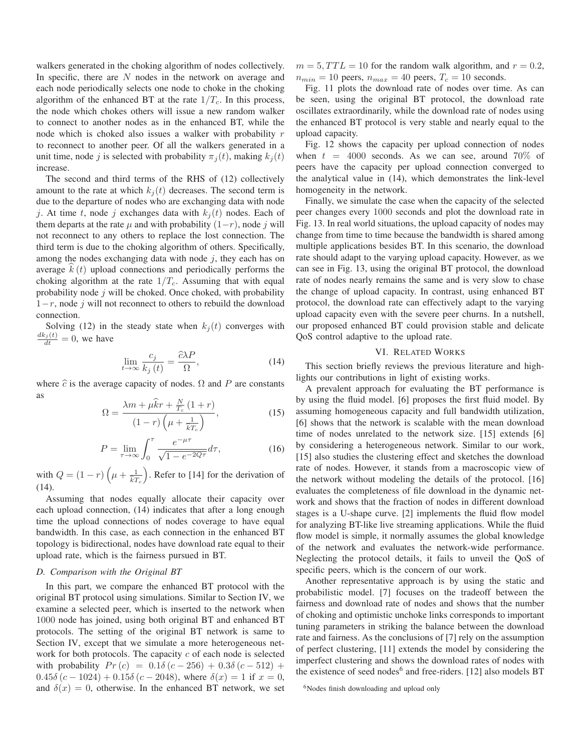walkers generated in the choking algorithm of nodes collectively. In specific, there are  $N$  nodes in the network on average and each node periodically selects one node to choke in the choking algorithm of the enhanced BT at the rate  $1/T_c$ . In this process, the node which chokes others will issue a new random walker to connect to another nodes as in the enhanced BT, while the node which is choked also issues a walker with probability r to reconnect to another peer. Of all the walkers generated in a unit time, node j is selected with probability  $\pi_i(t)$ , making  $k_i(t)$ increase.

The second and third terms of the RHS of (12) collectively amount to the rate at which  $k_i(t)$  decreases. The second term is due to the departure of nodes who are exchanging data with node j. At time t, node j exchanges data with  $k_i(t)$  nodes. Each of them departs at the rate  $\mu$  and with probability  $(1-r)$ , node j will not reconnect to any others to replace the lost connection. The third term is due to the choking algorithm of others. Specifically, among the nodes exchanging data with node  $j$ , they each has on average  $\hat{k}(t)$  upload connections and periodically performs the choking algorithm at the rate  $1/T$ . Assuming that with equal choking algorithm at the rate  $1/T_c$ . Assuming that with equal probability node  $j$  will be choked. Once choked, with probability  $1-r$ , node j will not reconnect to others to rebuild the download connection.

Solving (12) in the steady state when  $k_j(t)$  converges with  $\frac{dk_j(t)}{dt} = 0$ , we have

$$
\lim_{t \to \infty} \frac{c_j}{k_j(t)} = \frac{\widehat{c}\lambda P}{\Omega},\tag{14}
$$

where  $\hat{c}$  is the average capacity of nodes.  $\Omega$  and  $P$  are constants as

$$
\Omega = \frac{\lambda m + \mu \hat{k} r + \frac{N}{T_c} (1+r)}{(1-r) \left(\mu + \frac{1}{\hat{k}T_c}\right)},\tag{15}
$$

$$
P = \lim_{\tau \to \infty} \int_0^{\tau} \frac{e^{-\mu \tau}}{\sqrt{1 - e^{-2Q\tau}}} d\tau,
$$
 (16)

with  $Q = (1 - r) \left( \mu + \frac{1}{\hat{k}T_c} \right)$  . Refer to [14] for the derivation of (14).

Assuming that nodes equally allocate their capacity over each upload connection, (14) indicates that after a long enough time the upload connections of nodes coverage to have equal bandwidth. In this case, as each connection in the enhanced BT topology is bidirectional, nodes have download rate equal to their upload rate, which is the fairness pursued in BT.

## *D. Comparison with the Original BT*

In this part, we compare the enhanced BT protocol with the original BT protocol using simulations. Similar to Section IV, we examine a selected peer, which is inserted to the network when 1000 node has joined, using both original BT and enhanced BT protocols. The setting of the original BT network is same to Section IV, except that we simulate a more heterogeneous network for both protocols. The capacity  $c$  of each node is selected with probability  $Pr(c) = 0.1\delta (c - 256) + 0.3\delta (c - 512) +$  $0.45\delta(c - 1024) + 0.15\delta(c - 2048)$ , where  $\delta(x) = 1$  if  $x = 0$ , and  $\delta(x)=0$ , otherwise. In the enhanced BT network, we set  $m = 5, TTL = 10$  for the random walk algorithm, and  $r = 0.2$ ,  $n_{min} = 10$  peers,  $n_{max} = 40$  peers,  $T_c = 10$  seconds.

Fig. 11 plots the download rate of nodes over time. As can be seen, using the original BT protocol, the download rate oscillates extraordinarily, while the download rate of nodes using the enhanced BT protocol is very stable and nearly equal to the upload capacity.

Fig. 12 shows the capacity per upload connection of nodes when  $t = 4000$  seconds. As we can see, around  $70\%$  of peers have the capacity per upload connection converged to the analytical value in (14), which demonstrates the link-level homogeneity in the network.

Finally, we simulate the case when the capacity of the selected peer changes every 1000 seconds and plot the download rate in Fig. 13. In real world situations, the upload capacity of nodes may change from time to time because the bandwidth is shared among multiple applications besides BT. In this scenario, the download rate should adapt to the varying upload capacity. However, as we can see in Fig. 13, using the original BT protocol, the download rate of nodes nearly remains the same and is very slow to chase the change of upload capacity. In contrast, using enhanced BT protocol, the download rate can effectively adapt to the varying upload capacity even with the severe peer churns. In a nutshell, our proposed enhanced BT could provision stable and delicate QoS control adaptive to the upload rate.

#### VI. RELATED WORKS

This section briefly reviews the previous literature and highlights our contributions in light of existing works.

A prevalent approach for evaluating the BT performance is by using the fluid model. [6] proposes the first fluid model. By assuming homogeneous capacity and full bandwidth utilization, [6] shows that the network is scalable with the mean download time of nodes unrelated to the network size. [15] extends [6] by considering a heterogeneous network. Similar to our work, [15] also studies the clustering effect and sketches the download rate of nodes. However, it stands from a macroscopic view of the network without modeling the details of the protocol. [16] evaluates the completeness of file download in the dynamic network and shows that the fraction of nodes in different download stages is a U-shape curve. [2] implements the fluid flow model for analyzing BT-like live streaming applications. While the fluid flow model is simple, it normally assumes the global knowledge of the network and evaluates the network-wide performance. Neglecting the protocol details, it fails to unveil the QoS of specific peers, which is the concern of our work.

Another representative approach is by using the static and probabilistic model. [7] focuses on the tradeoff between the fairness and download rate of nodes and shows that the number of choking and optimistic unchoke links corresponds to important tuning parameters in striking the balance between the download rate and fairness. As the conclusions of [7] rely on the assumption of perfect clustering, [11] extends the model by considering the imperfect clustering and shows the download rates of nodes with the existence of seed nodes<sup>6</sup> and free-riders. [12] also models BT

<sup>&</sup>lt;sup>6</sup>Nodes finish downloading and upload only